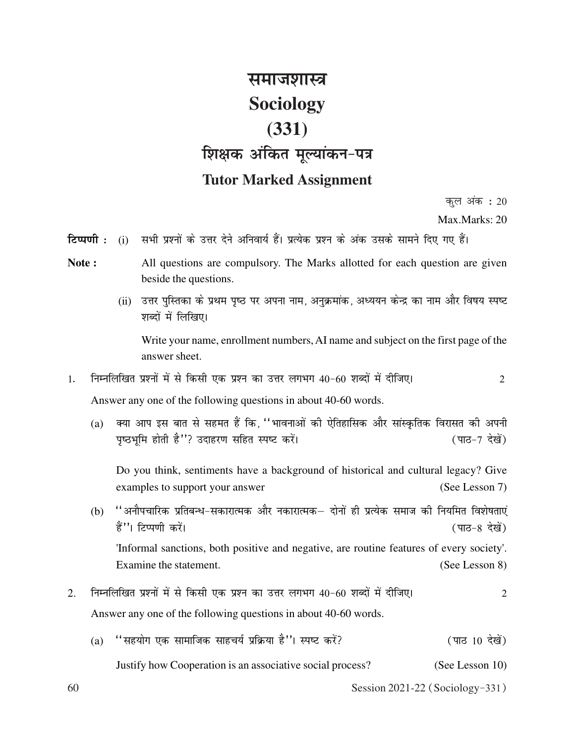## <u>समाजशास्त्र</u> **Sociology (331) शिक्षक अंकित मूल्यांकन-पत्र Tutor Marked Assignment**

कूल अंक $\;$  : 20

Max.Marks: 20

**टिप्पणी :** (i) सभी प्रश्नों के उत्तर देने अनिवार्य हैं। प्रत्येक प्रश्न के अंक उसके सामने दिए गए हैं।

- Note : All questions are compulsory. The Marks allotted for each question are given beside the questions.
	- (ii) उत्तर पुस्तिका के प्रथम पृष्ठ पर अपना नाम, अनुक्रमांक, अध्ययन केन्द्र का नाम और विषय स्पष्ट शब्दों में लिखिए।

Write your name, enrollment numbers, AI name and subject on the first page of the answer sheet.

1. निम्नलिखित प्रश्नों में से किसी एक प्रश्न का उत्तर लगभग 40-60 शब्दों में दीजिए। 2

Answer any one of the following questions in about 40-60 words.

(a) क्या आप इस बात से सहमत हैं कि, ''भावनाओं की ऐतिहासिक और सांस्कृतिक विरासत की अपनी पृष्ठभूमि होती है''? उदाहरण सहित स्पष्ट करें। (पाठ-7 देखें)

Do you think, sentiments have a background of historical and cultural legacy? Give examples to support your answer (See Lesson 7)

(b)  $\cdot$  ''अनौपचारिक प्रतिबन्ध-सकारात्मक और नकारात्मक– दोनों ही प्रत्येक समाज की नियमित विशेषताएं हैं''। टिप्पणी करें। बाद करें। बाद कर से स्वास्थ्य करें। बाद कर से स्वास्थ्य करें। बाद कर से स्वास्थ्य करें।

'Informal sanctions, both positive and negative, are routine features of every society'. Examine the statement. (See Lesson 8)

- 2. निम्नलिखित प्रश्नों में से किसी एक प्रश्न का उत्तर लगभग 40-60 शब्दों में दीजिए। 2 Answer any one of the following questions in about 40-60 words.
	- $(a)$  "सहयोग एक सामाजिक साहचर्य प्रक्रिया है''। स्पष्ट करें? (पाठ 10 देखें)
		- Justify how Cooperation is an associative social process? (See Lesson 10)

60 Session 2021-22 (Sociology-331)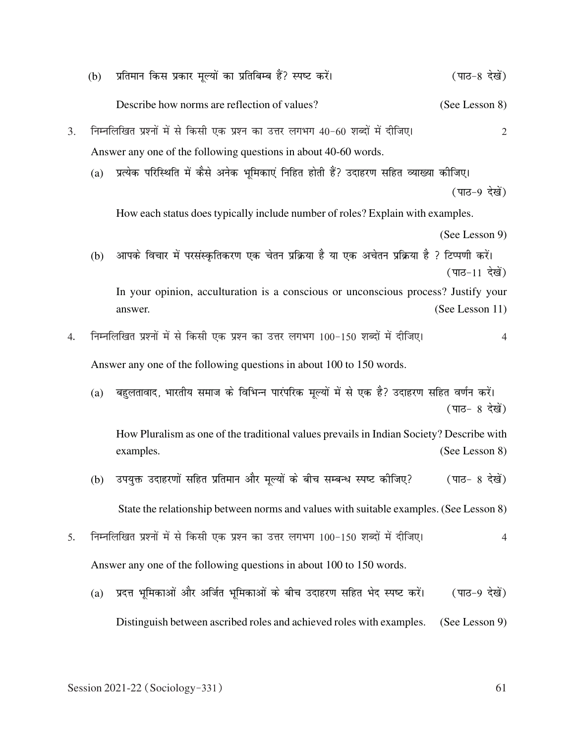|                                                                      | (b)                                                                             | प्रतिमान किस प्रकार मूल्यों का प्रतिबिम्ब हैं? स्पष्ट करें।                                           | (पाठ-8 देखें)   |  |  |
|----------------------------------------------------------------------|---------------------------------------------------------------------------------|-------------------------------------------------------------------------------------------------------|-----------------|--|--|
|                                                                      |                                                                                 | Describe how norms are reflection of values?                                                          | (See Lesson 8)  |  |  |
| 3.                                                                   | निम्नलिखित प्रश्नों में से किसी एक प्रश्न का उत्तर लगभग 40-60 शब्दों में दीजिए। |                                                                                                       |                 |  |  |
|                                                                      | Answer any one of the following questions in about 40-60 words.                 |                                                                                                       |                 |  |  |
|                                                                      | (a)                                                                             | प्रत्येक परिस्थिति में कैसे अनेक भूमिकाएं निहित होती हैं? उदाहरण सहित व्याख्या कोजिए।                 |                 |  |  |
|                                                                      |                                                                                 |                                                                                                       | (पाठ-9 देखें)   |  |  |
|                                                                      |                                                                                 | How each status does typically include number of roles? Explain with examples.                        |                 |  |  |
|                                                                      |                                                                                 |                                                                                                       | (See Lesson 9)  |  |  |
|                                                                      | (b)                                                                             | आपके विचार में परसंस्कृतिकरण एक चेतन प्रक्रिया है या एक अचेतन प्रक्रिया है ? टिप्पणी करें।            | (पाठ-11 देखें)  |  |  |
|                                                                      |                                                                                 | In your opinion, acculturation is a conscious or unconscious process? Justify your                    |                 |  |  |
|                                                                      |                                                                                 | answer.                                                                                               | (See Lesson 11) |  |  |
| 4.                                                                   |                                                                                 | निम्नलिखित प्रश्नों में से किसी एक प्रश्न का उत्तर लगभग 100-150 शब्दों में दीजिए।                     | 4               |  |  |
|                                                                      |                                                                                 | Answer any one of the following questions in about 100 to 150 words.                                  |                 |  |  |
|                                                                      | (a)                                                                             | बहुलतावाद, भारतीय समाज के विभिन्न पारंपरिक मूल्यों में से एक है? उदाहरण सहित वर्णन करें।              | (पाठ- 8 देखें)  |  |  |
|                                                                      |                                                                                 | How Pluralism as one of the traditional values prevails in Indian Society? Describe with<br>examples. | (See Lesson 8)  |  |  |
|                                                                      | (b)                                                                             | उपयुक्त उदाहरणों सहित प्रतिमान और मूल्यों के बीच सम्बन्ध स्पष्ट कीजिए?                                | (पाठ- 8 देखें)  |  |  |
|                                                                      |                                                                                 | State the relationship between norms and values with suitable examples. (See Lesson 8)                |                 |  |  |
| 5.                                                                   |                                                                                 | निम्नलिखित प्रश्नों में से किसी एक प्रश्न का उत्तर लगभग 100-150 शब्दों में दीजिए।                     | 4               |  |  |
| Answer any one of the following questions in about 100 to 150 words. |                                                                                 |                                                                                                       |                 |  |  |
|                                                                      | (a)                                                                             | प्रदत्त भूमिकाओं और अर्जित भूमिकाओं के बीच उदाहरण सहित भेद स्पष्ट करें।                               | (पाठ-9 देखें)   |  |  |
|                                                                      |                                                                                 | Distinguish between ascribed roles and achieved roles with examples.                                  | (See Lesson 9)  |  |  |
|                                                                      |                                                                                 |                                                                                                       |                 |  |  |
|                                                                      |                                                                                 | Session 2021-22 (Sociology-331)                                                                       | 61              |  |  |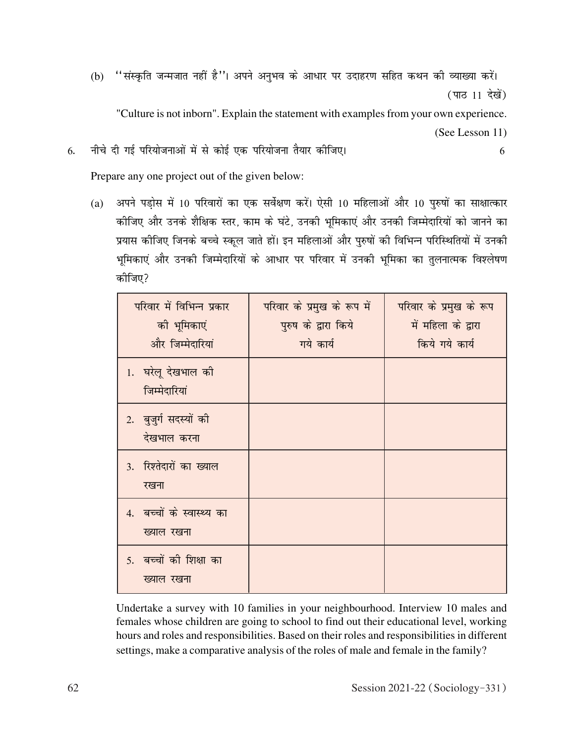(b) "संस्कृति जन्मजात नहीं है"। अपने अनुभव के आधार पर उदाहरण सहित कथन की व्याख्या करें। (पाठ 11 देखें)

"Culture is not inborn". Explain the statement with examples from your own experience.

(See Lesson 11)

6- uhps nh xbZ ifj;kstukvksa esa ls dksbZ ,d ifj;kstuk rS;kj dhft,A 6

Prepare any one project out of the given below:

(a) अपने पडोस में 10 परिवारों का एक सर्वेक्षण करें। ऐसी 10 महिलाओं और 10 पुरुषों का साक्षात्कार कोजिए और उनके शैक्षिक स्तर, काम के घंटे, उनकी भूमिकाएं और उनकी जिम्मेदारियों को जानने का प्रयास कीजिए जिनके बच्चे स्कूल जाते हों। इन महिलाओं और पुरुषों की विभिन्न परिस्थितियों में उनकी भूमिकाएं और उनकी जिम्मेदारियों के आधार पर परिवार में उनकी भूमिका का तुलनात्मक विश्लेषण कोजिए?

| परिवार में विभिन्न प्रकार<br>की भूमिकाएं<br>और जिम्मेदारियां | परिवार के प्रमुख के रूप में<br>पुरुष के द्वारा किये<br>गये कार्य | परिवार के प्रमुख के रूप<br>में महिला के द्वारा<br>किये गये कार्य |
|--------------------------------------------------------------|------------------------------------------------------------------|------------------------------------------------------------------|
| 1. घरेलू देखभाल की<br>जिम्मेदारियां                          |                                                                  |                                                                  |
| 2. बुजुर्ग सदस्यों की<br>देखभाल करना                         |                                                                  |                                                                  |
| 3. रिश्तेदारों का ख्याल<br>रखना                              |                                                                  |                                                                  |
| 4. बच्चों के स्वास्थ्य का<br>ख्याल रखना                      |                                                                  |                                                                  |
| 5. बच्चों की शिक्षा का<br>ख्याल रखना                         |                                                                  |                                                                  |

Undertake a survey with 10 families in your neighbourhood. Interview 10 males and females whose children are going to school to find out their educational level, working hours and roles and responsibilities. Based on their roles and responsibilities in different settings, make a comparative analysis of the roles of male and female in the family?